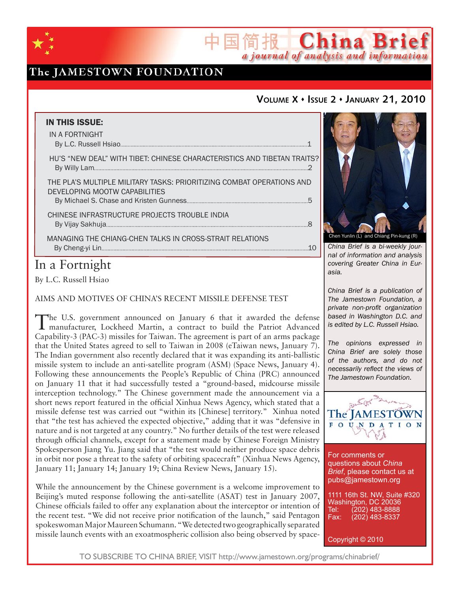

# The JAMESTOWN FOUNDATION

## **VOLUME X ISSUE 2 JANUARY 21, 2010**

国简报 China Brief

a journal of analysis and information

| <b>IN THIS ISSUE:</b><br>IN A FORTNIGHT                                                                |
|--------------------------------------------------------------------------------------------------------|
| HU'S "NEW DEAL" WITH TIBET: CHINESE CHARACTERISTICS AND TIBETAN TRAITS?                                |
| THE PLA'S MULTIPLE MILITARY TASKS: PRIORITIZING COMBAT OPERATIONS AND<br>DEVELOPING MOOTW CAPABILITIES |
| CHINESE INFRASTRUCTURE PROJECTS TROUBLE INDIA                                                          |
| MANAGING THE CHIANG-CHEN TALKS IN CROSS-STRAIT RELATIONS                                               |
|                                                                                                        |

# In a Fortnight

By L.C. Russell Hsiao

AIMS AND MOTIVES OF CHINA'S RECENT MISSILE DEFENSE TEST

The U.S. government announced on January 6 that it awarded the defense manufacturer, Lockheed Martin, a contract to build the Patriot Advanced Capability-3 (PAC-3) missiles for Taiwan. The agreement is part of an arms package that the United States agreed to sell to Taiwan in 2008 (eTaiwan news, January 7). The Indian government also recently declared that it was expanding its anti-ballistic missile system to include an anti-satellite program (ASM) (Space News, January 4). Following these announcements the People's Republic of China (PRC) announced on January 11 that it had successfully tested a "ground-based, midcourse missile interception technology." The Chinese government made the announcement via a short news report featured in the official Xinhua News Agency, which stated that a missile defense test was carried out "within its [Chinese] territory." Xinhua noted that "the test has achieved the expected objective," adding that it was "defensive in nature and is not targeted at any country." No further details of the test were released through official channels, except for a statement made by Chinese Foreign Ministry Spokesperson Jiang Yu. Jiang said that "the test would neither produce space debris in orbit nor pose a threat to the safety of orbiting spacecraft" (Xinhua News Agency, January 11; January 14; January 19; China Review News, January 15).

While the announcement by the Chinese government is a welcome improvement to Beijing's muted response following the anti-satellite (ASAT) test in January 2007, Chinese officials failed to offer any explanation about the interceptor or intention of the recent test. "We did not receive prior notification of the launch," said Pentagon spokeswoman Major Maureen Schumann. "We detected two geographically separated missile launch events with an exoatmospheric collision also being observed by space-



*China Brief is a bi-weekly journal of information and analysis covering Greater China in Eurasia.* 

*China Brief is a publication of The Jamestown Foundation, a private non-profit organization based in Washington D.C. and is edited by L.C. Russell Hsiao.*

*The opinions expressed in China Brief are solely those of the authors, and do not necessarily reflect the views of The Jamestown Foundation.*



For comments or questions about *China Brief*, please contact us at pubs@jamestown.org

1111 16th St. NW, Suite #320 Washington, DC 20036 Tel: (202) 483-8888<br>Fax: (202) 483-8337 Fax: (202) 483-8337

Copyright © 2010

TO SUBSCRIBE TO CHINA BRIEF, VISIT http://www.jamestown.org/programs/chinabrief/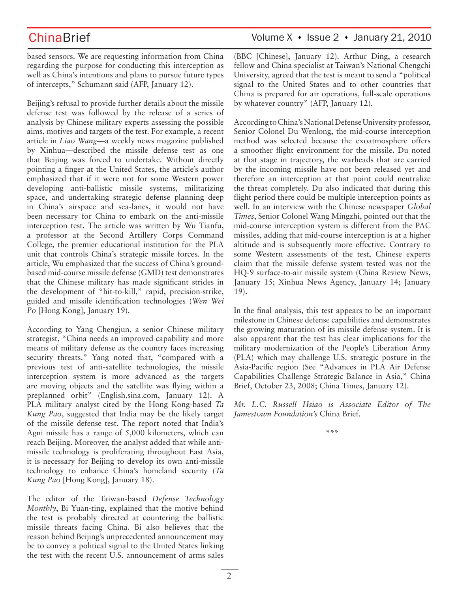based sensors. We are requesting information from China regarding the purpose for conducting this interception as well as China's intentions and plans to pursue future types of intercepts," Schumann said (AFP, January 12).

Beijing's refusal to provide further details about the missile defense test was followed by the release of a series of analysis by Chinese military experts assessing the possible aims, motives and targets of the test. For example, a recent article in *Liao Wang*—a weekly news magazine published by Xinhua—described the missile defense test as one that Beijing was forced to undertake. Without directly pointing a finger at the United States, the article's author emphasized that if it were not for some Western power developing anti-ballistic missile systems, militarizing space, and undertaking strategic defense planning deep in China's airspace and sea-lanes, it would not have been necessary for China to embark on the anti-missile interception test. The article was written by Wu Tianfu, a professor at the Second Artillery Corps Command College, the premier educational institution for the PLA unit that controls China's strategic missile forces. In the article, Wu emphasized that the success of China's groundbased mid-course missile defense (GMD) test demonstrates that the Chinese military has made significant strides in the development of "hit-to-kill," rapid, precision-strike, guided and missile identification technologies (*Wen Wei Po* [Hong Kong], January 19).

According to Yang Chengjun, a senior Chinese military strategist, "China needs an improved capability and more means of military defense as the country faces increasing security threats." Yang noted that, "compared with a previous test of anti-satellite technologies, the missile interception system is more advanced as the targets are moving objects and the satellite was flying within a preplanned orbit" (English.sina.com, January 12). A PLA military analyst cited by the Hong Kong-based *Ta Kung Pao*, suggested that India may be the likely target of the missile defense test. The report noted that India's Agni missile has a range of 5,000 kilometers, which can reach Beijing. Moreover, the analyst added that while antimissile technology is proliferating throughout East Asia, it is necessary for Beijing to develop its own anti-missile technology to enhance China's homeland security (*Ta Kung Pao* [Hong Kong], January 18).

The editor of the Taiwan-based *Defense Technology Monthly*, Bi Yuan-ting, explained that the motive behind the test is probably directed at countering the ballistic missile threats facing China. Bi also believes that the reason behind Beijing's unprecedented announcement may be to convey a political signal to the United States linking the test with the recent U.S. announcement of arms sales

## ChinaBrief Volume X • Issue 2 • January 21, 2010

(BBC [Chinese], January 12). Arthur Ding, a research fellow and China specialist at Taiwan's National Chengchi University, agreed that the test is meant to send a "political signal to the United States and to other countries that China is prepared for air operations, full-scale operations by whatever country" (AFP, January 12).

According to China's National Defense University professor, Senior Colonel Du Wenlong, the mid-course interception method was selected because the exoatmosphere offers a smoother flight environment for the missile. Du noted at that stage in trajectory, the warheads that are carried by the incoming missile have not been released yet and therefore an interception at that point could neutralize the threat completely. Du also indicated that during this flight period there could be multiple interception points as well. In an interview with the Chinese newspaper *Global Times*, Senior Colonel Wang Mingzhi, pointed out that the mid-course interception system is different from the PAC missiles, adding that mid-course interception is at a higher altitude and is subsequently more effective. Contrary to some Western assessments of the test, Chinese experts claim that the missile defense system tested was not the HQ-9 surface-to-air missile system (China Review News, January 15; Xinhua News Agency, January 14; January 19).

In the final analysis, this test appears to be an important milestone in Chinese defense capabilities and demonstrates the growing maturation of its missile defense system. It is also apparent that the test has clear implications for the military modernization of the People's Liberation Army (PLA) which may challenge U.S. strategic posture in the Asia-Pacific region (See "Advances in PLA Air Defense Capabilities Challenge Strategic Balance in Asia," China Brief, October 23, 2008; China Times, January 12).

*Mr. L.C. Russell Hsiao is Associate Editor of The Jamestown Foundation's* China Brief*.*

**\*\*\***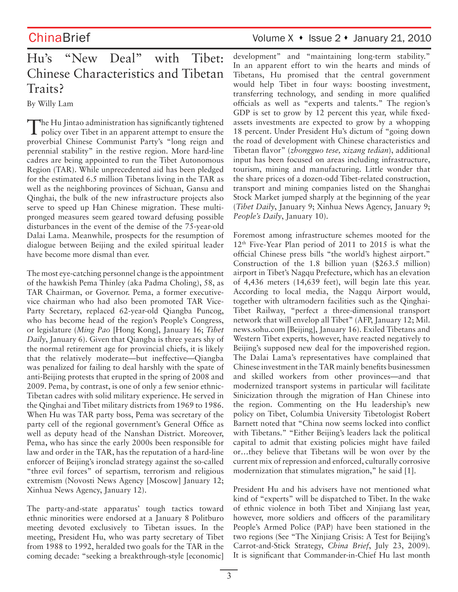# Hu's "New Deal" with Tibet: Chinese Characteristics and Tibetan Traits?

By Willy Lam

The Hu Jintao administration has significantly tightened policy over Tibet in an apparent attempt to ensure the proverbial Chinese Communist Party's "long reign and perennial stability" in the restive region. More hard-line cadres are being appointed to run the Tibet Autonomous Region (TAR). While unprecedented aid has been pledged for the estimated 6.5 million Tibetans living in the TAR as well as the neighboring provinces of Sichuan, Gansu and Qinghai, the bulk of the new infrastructure projects also serve to speed up Han Chinese migration. These multipronged measures seem geared toward defusing possible disturbances in the event of the demise of the 75-year-old Dalai Lama. Meanwhile, prospects for the resumption of dialogue between Beijing and the exiled spiritual leader have become more dismal than ever.

The most eye-catching personnel change is the appointment of the hawkish Pema Thinley (aka Padma Choling), 58, as TAR Chairman, or Governor. Pema, a former executivevice chairman who had also been promoted TAR Vice-Party Secretary, replaced 62-year-old Qiangba Puncog, who has become head of the region's People's Congress, or legislature (*Ming Pao* [Hong Kong], January 16; *Tibet Daily*, January 6). Given that Qiangba is three years shy of the normal retirement age for provincial chiefs, it is likely that the relatively moderate—but ineffective—Qiangba was penalized for failing to deal harshly with the spate of anti-Beijing protests that erupted in the spring of 2008 and 2009. Pema, by contrast, is one of only a few senior ethnic-Tibetan cadres with solid military experience. He served in the Qinghai and Tibet military districts from 1969 to 1986. When Hu was TAR party boss, Pema was secretary of the party cell of the regional government's General Office as well as deputy head of the Nanshan District. Moreover, Pema**,** who has since the early 2000s been responsible for law and order in the TAR, has the reputation of a hard-line enforcer of Beijing's ironclad strategy against the so-called "three evil forces" of separtism, terrorism and religious extremism (Novosti News Agency [Moscow] January 12; Xinhua News Agency, January 12).

The party-and-state apparatus' tough tactics toward ethnic minorities were endorsed at a January 8 Politburo meeting devoted exclusively to Tibetan issues. In the meeting, President Hu, who was party secretary of Tibet from 1988 to 1992, heralded two goals for the TAR in the coming decade: "seeking a breakthrough-style [economic]

ChinaBrief Volume X • Issue 2 • January 21, 2010

development" and "maintaining long-term stability." In an apparent effort to win the hearts and minds of Tibetans, Hu promised that the central government would help Tibet in four ways: boosting investment, transferring technology, and sending in more qualified officials as well as "experts and talents." The region's GDP is set to grow by 12 percent this year, while fixedassets investments are expected to grow by a whopping 18 percent. Under President Hu's dictum of "going down the road of development with Chinese characteristics and Tibetan flavor" (*zhongguo tese, xizang tedian*), additional input has been focused on areas including infrastructure, tourism, mining and manufacturing. Little wonder that the share prices of a dozen-odd Tibet-related construction, transport and mining companies listed on the Shanghai Stock Market jumped sharply at the beginning of the year (*Tibet Daily*, January 9; Xinhua News Agency, January 9; *People's Daily*, January 10).

Foremost among infrastructure schemes mooted for the 12th Five-Year Plan period of 2011 to 2015 is what the official Chinese press bills "the world's highest airport." Construction of the 1.8 billion yuan (\$263.5 million) airport in Tibet's Nagqu Prefecture, which has an elevation of 4,436 meters (14,639 feet), will begin late this year. According to local media, the Nagqu Airport would, together with ultramodern facilities such as the Qinghai-Tibet Railway, "perfect a three-dimensional transport network that will envelop all Tibet" (AFP, January 12; Mil. news.sohu.com [Beijing], January 16). Exiled Tibetans and Western Tibet experts, however, have reacted negatively to Beijing's supposed new deal for the impoverished region. The Dalai Lama's representatives have complained that Chinese investment in the TAR mainly benefits businessmen and skilled workers from other provinces—and that modernized transport systems in particular will facilitate Sinicization through the migration of Han Chinese into the region. Commenting on the Hu leadership's new policy on Tibet, Columbia University Tibetologist Robert Barnett noted that "China now seems locked into conflict with Tibetans." "Either Beijing's leaders lack the political capital to admit that existing policies might have failed or…they believe that Tibetans will be won over by the current mix of repression and enforced, culturally corrosive modernization that stimulates migration," he said [1].

President Hu and his advisers have not mentioned what kind of "experts" will be dispatched to Tibet. In the wake of ethnic violence in both Tibet and Xinjiang last year, however, more soldiers and officers of the paramilitary People's Armed Police (PAP) have been stationed in the two regions (See "The Xinjiang Crisis: A Test for Beijing's Carrot-and-Stick Strategy, *China Brief*, July 23, 2009). It is significant that Commander-in-Chief Hu last month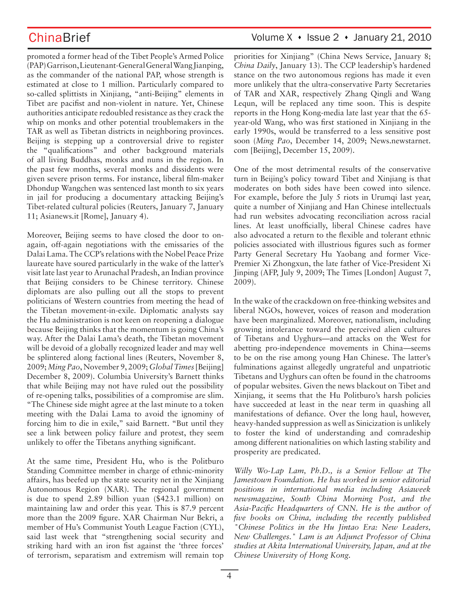promoted a former head of the Tibet People's Armed Police (PAP) Garrison, Lieutenant-General General Wang Jianping, as the commander of the national PAP, whose strength is estimated at close to 1 million. Particularly compared to so-called splittists in Xinjiang, "anti-Beijing" elements in Tibet are pacifist and non-violent in nature. Yet, Chinese authorities anticipate redoubled resistance as they crack the whip on monks and other potential troublemakers in the TAR as well as Tibetan districts in neighboring provinces. Beijing is stepping up a controversial drive to register the "qualifications" and other background materials of all living Buddhas, monks and nuns in the region. In the past few months, several monks and dissidents were given severe prison terms. For instance, liberal film-maker Dhondup Wangchen was sentenced last month to six years in jail for producing a documentary attacking Beijing's Tibet-related cultural policies (Reuters, January 7, January 11; Asianews.it [Rome], January 4).

Moreover, Beijing seems to have closed the door to onagain, off-again negotiations with the emissaries of the Dalai Lama. The CCP's relations with the Nobel Peace Prize laureate have soured particularly in the wake of the latter's visit late last year to Arunachal Pradesh, an Indian province that Beijing considers to be Chinese territory. Chinese diplomats are also pulling out all the stops to prevent politicians of Western countries from meeting the head of the Tibetan movement-in-exile. Diplomatic analysts say the Hu administration is not keen on reopening a dialogue because Beijing thinks that the momentum is going China's way. After the Dalai Lama's death, the Tibetan movement will be devoid of a globally recognized leader and may well be splintered along factional lines (Reuters, November 8, 2009; *Ming Pao*, November 9, 2009; *Global Times* [Beijing] December 8, 2009). Columbia University's Barnett thinks that while Beijing may not have ruled out the possibility of re-opening talks, possibilities of a compromise are slim. "The Chinese side might agree at the last minute to a token meeting with the Dalai Lama to avoid the ignominy of forcing him to die in exile," said Barnett. "But until they see a link between policy failure and protest, they seem unlikely to offer the Tibetans anything significant.

At the same time, President Hu, who is the Politburo Standing Committee member in charge of ethnic-minority affairs, has beefed up the state security net in the Xinjiang Autonomous Region (XAR). The regional government is due to spend 2.89 billion yuan (\$423.1 million) on maintaining law and order this year. This is 87.9 percent more than the 2009 figure. XAR Chairman Nur Bekri, a member of Hu's Communist Youth League Faction (CYL), said last week that "strengthening social security and striking hard with an iron fist against the 'three forces' of terrorism, separatism and extremism will remain top

## ChinaBrief Volume X • Issue 2 • January 21, 2010

priorities for Xinjiang" (China News Service, January 8; *China Daily*, January 13). The CCP leadership's hardened stance on the two autonomous regions has made it even more unlikely that the ultra-conservative Party Secretaries of TAR and XAR, respectively Zhang Qingli and Wang Lequn, will be replaced any time soon. This is despite reports in the Hong Kong-media late last year that the 65 year-old Wang, who was first stationed in Xinjiang in the early 1990s, would be transferred to a less sensitive post soon (*Ming Pao*, December 14, 2009; News.newstarnet. com [Beijing], December 15, 2009).

One of the most detrimental results of the conservative turn in Beijing's policy toward Tibet and Xinjiang is that moderates on both sides have been cowed into silence. For example, before the July 5 riots in Urumqi last year, quite a number of Xinjiang and Han Chinese intellectuals had run websites advocating reconciliation across racial lines. At least unofficially, liberal Chinese cadres have also advocated a return to the flexible and tolerant ethnic policies associated with illustrious figures such as former Party General Secretary Hu Yaobang and former Vice-Premier Xi Zhongxun, the late father of Vice-President Xi Jinping (AFP, July 9, 2009; The Times [London] August 7, 2009).

In the wake of the crackdown on free-thinking websites and liberal NGOs, however, voices of reason and moderation have been marginalized. Moreover, nationalism, including growing intolerance toward the perceived alien cultures of Tibetans and Uyghurs—and attacks on the West for abetting pro-independence movements in China—seems to be on the rise among young Han Chinese. The latter's fulminations against allegedly ungrateful and unpatriotic Tibetans and Uyghurs can often be found in the chatrooms of popular websites. Given the news blackout on Tibet and Xinjiang, it seems that the Hu Politburo's harsh policies have succeeded at least in the near term in quashing all manifestations of defiance. Over the long haul, however, heavy-handed suppression as well as Sinicization is unlikely to foster the kind of understanding and comradeship among different nationalities on which lasting stability and prosperity are predicated.

*Willy Wo-Lap Lam, Ph.D., is a Senior Fellow at The Jamestown Foundation. He has worked in senior editorial positions in international media including Asiaweek newsmagazine, South China Morning Post, and the Asia-Pacific Headquarters of CNN. He is the author of five books on China, including the recently published "Chinese Politics in the Hu Jintao Era: New Leaders, New Challenges." Lam is an Adjunct Professor of China studies at Akita International University, Japan, and at the Chinese University of Hong Kong.*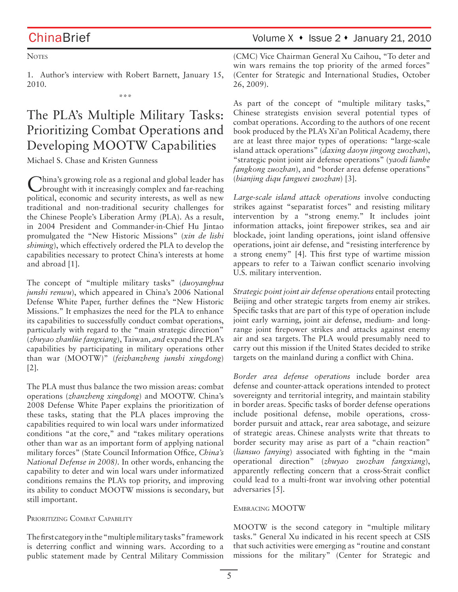**NOTES** 

1. Author's interview with Robert Barnett, January 15, 2010.

\*\*\*

# The PLA's Multiple Military Tasks: Prioritizing Combat Operations and Developing MOOTW Capabilities

Michael S. Chase and Kristen Gunness

China's growing role as a regional and global leader has brought with it increasingly complex and far-reaching political, economic and security interests, as well as new traditional and non-traditional security challenges for the Chinese People's Liberation Army (PLA). As a result, in 2004 President and Commander-in-Chief Hu Jintao promulgated the "New Historic Missions" (*xin de lishi shiming*), which effectively ordered the PLA to develop the capabilities necessary to protect China's interests at home and abroad [1].

The concept of "multiple military tasks" (*duoyanghua junshi renwu*), which appeared in China's 2006 National Defense White Paper, further defines the "New Historic Missions." It emphasizes the need for the PLA to enhance its capabilities to successfully conduct combat operations, particularly with regard to the "main strategic direction" (*zhuyao zhanlüe fangxiang*), Taiwan, *and* expand the PLA's capabilities by participating in military operations other than war (MOOTW)" (*feizhanzheng junshi xingdong*) [2].

The PLA must thus balance the two mission areas: combat operations (*zhanzheng xingdong*) and MOOTW. China's 2008 Defense White Paper explains the prioritization of these tasks, stating that the PLA places improving the capabilities required to win local wars under informatized conditions "at the core," and "takes military operations other than war as an important form of applying national military forces" (State Council Information Office*, China's National Defense in 2008).* In other words, enhancing the capability to deter and win local wars under informatized conditions remains the PLA's top priority, and improving its ability to conduct MOOTW missions is secondary, but still important.

### PRIORITIZING COMBAT CAPABILITY

The first category in the "multiple military tasks" framework is deterring conflict and winning wars. According to a public statement made by Central Military Commission

ChinaBrief Volume X • Issue 2 • January 21, 2010

(CMC) Vice Chairman General Xu Caihou, "To deter and win wars remains the top priority of the armed forces" (Center for Strategic and International Studies, October 26, 2009).

As part of the concept of "multiple military tasks," Chinese strategists envision several potential types of combat operations. According to the authors of one recent book produced by the PLA's Xi'an Political Academy, there are at least three major types of operations: "large-scale island attack operations" (*daxing daoyu jingong zuozhan*), "strategic point joint air defense operations" (*yaodi lianhe fangkong zuozhan*), and "border area defense operations" (*bianjing diqu fangwei zuozhan*) [3].

*Large-scale island attack operations* involve conducting strikes against "separatist forces" and resisting military intervention by a "strong enemy." It includes joint information attacks, joint firepower strikes, sea and air blockade, joint landing operations, joint island offensive operations, joint air defense, and "resisting interference by a strong enemy" [4]. This first type of wartime mission appears to refer to a Taiwan conflict scenario involving U.S. military intervention.

*Strategic point joint air defense operations* entail protecting Beijing and other strategic targets from enemy air strikes. Specific tasks that are part of this type of operation include joint early warning, joint air defense, medium- and longrange joint firepower strikes and attacks against enemy air and sea targets. The PLA would presumably need to carry out this mission if the United States decided to strike targets on the mainland during a conflict with China.

*Border area defense operations* include border area defense and counter-attack operations intended to protect sovereignty and territorial integrity, and maintain stability in border areas. Specific tasks of border defense operations include positional defense, mobile operations, crossborder pursuit and attack, rear area sabotage, and seizure of strategic areas. Chinese analysts write that threats to border security may arise as part of a "chain reaction" (*liansuo fanying*) associated with fighting in the "main operational direction" (*zhuyao zuozhan fangxiang*), apparently reflecting concern that a cross-Strait conflict could lead to a multi-front war involving other potential adversaries [5].

### EMBRACING MOOTW

MOOTW is the second category in "multiple military tasks." General Xu indicated in his recent speech at CSIS that such activities were emerging as "routine and constant missions for the military" (Center for Strategic and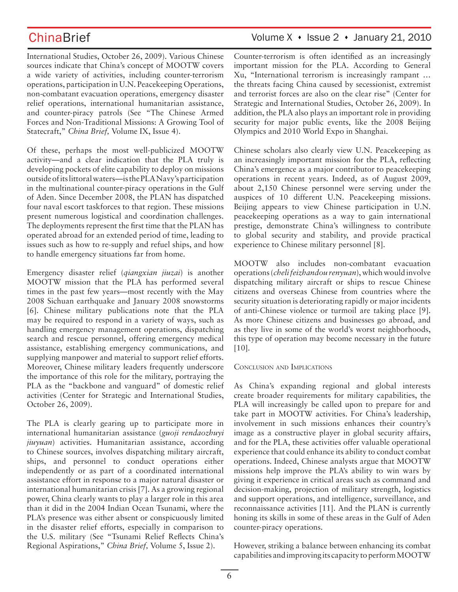## ChinaBrief Volume X • Issue 2 • January 21, 2010

International Studies, October 26, 2009). Various Chinese sources indicate that China's concept of MOOTW covers a wide variety of activities, including counter-terrorism operations, participation in U.N. Peacekeeping Operations, non-combatant evacuation operations, emergency disaster relief operations, international humanitarian assistance, and counter-piracy patrols (See "The Chinese Armed Forces and Non-Traditional Missions: A Growing Tool of Statecraft," *China Brief,* Volume IX, Issue 4).

Of these, perhaps the most well-publicized MOOTW activity—and a clear indication that the PLA truly is developing pockets of elite capability to deploy on missions outside of its littoral waters—is the PLA Navy's participation in the multinational counter-piracy operations in the Gulf of Aden. Since December 2008, the PLAN has dispatched four naval escort taskforces to that region. These missions present numerous logistical and coordination challenges. The deployments represent the first time that the PLAN has operated abroad for an extended period of time, leading to issues such as how to re-supply and refuel ships, and how to handle emergency situations far from home.

Emergency disaster relief (*qiangxian jiuzai*) is another MOOTW mission that the PLA has performed several times in the past few years—most recently with the May 2008 Sichuan earthquake and January 2008 snowstorms [6]. Chinese military publications note that the PLA may be required to respond in a variety of ways, such as handling emergency management operations, dispatching search and rescue personnel, offering emergency medical assistance, establishing emergency communications, and supplying manpower and material to support relief efforts. Moreover, Chinese military leaders frequently underscore the importance of this role for the military, portraying the PLA as the "backbone and vanguard" of domestic relief activities (Center for Strategic and International Studies, October 26, 2009).

The PLA is clearly gearing up to participate more in international humanitarian assistance (*guoji rendaozhuyi jiuyuan*) activities. Humanitarian assistance, according to Chinese sources, involves dispatching military aircraft, ships, and personnel to conduct operations either independently or as part of a coordinated international assistance effort in response to a major natural disaster or international humanitarian crisis [7]. As a growing regional power, China clearly wants to play a larger role in this area than it did in the 2004 Indian Ocean Tsunami, where the PLA's presence was either absent or conspicuously limited in the disaster relief efforts, especially in comparison to the U.S. military (See "Tsunami Relief Reflects China's Regional Aspirations," *China Brief,* Volume 5, Issue 2).

Counter-terrorism is often identified as an increasingly important mission for the PLA. According to General Xu, "International terrorism is increasingly rampant … the threats facing China caused by secessionist, extremist and terrorist forces are also on the clear rise" (Center for Strategic and International Studies, October 26, 2009). In addition, the PLA also plays an important role in providing security for major public events, like the 2008 Beijing Olympics and 2010 World Expo in Shanghai.

Chinese scholars also clearly view U.N. Peacekeeping as an increasingly important mission for the PLA, reflecting China's emergence as a major contributor to peacekeeping operations in recent years. Indeed, as of August 2009, about 2,150 Chinese personnel were serving under the auspices of 10 different U.N. Peacekeeping missions. Beijing appears to view Chinese participation in U.N. peacekeeping operations as a way to gain international prestige, demonstrate China's willingness to contribute to global security and stability, and provide practical experience to Chinese military personnel [8].

MOOTW also includes non-combatant evacuation operations (*cheli feizhandou renyuan*), which would involve dispatching military aircraft or ships to rescue Chinese citizens and overseas Chinese from countries where the security situation is deteriorating rapidly or major incidents of anti-Chinese violence or turmoil are taking place [9]. As more Chinese citizens and businesses go abroad, and as they live in some of the world's worst neighborhoods, this type of operation may become necessary in the future [10].

### CONCLUSION AND IMPLICATIONS

As China's expanding regional and global interests create broader requirements for military capabilities, the PLA will increasingly be called upon to prepare for and take part in MOOTW activities. For China's leadership, involvement in such missions enhances their country's image as a constructive player in global security affairs, and for the PLA, these activities offer valuable operational experience that could enhance its ability to conduct combat operations. Indeed, Chinese analysts argue that MOOTW missions help improve the PLA's ability to win wars by giving it experience in critical areas such as command and decision-making, projection of military strength, logistics and support operations, and intelligence, surveillance, and reconnaissance activities [11]. And the PLAN is currently honing its skills in some of these areas in the Gulf of Aden counter-piracy operations.

However, striking a balance between enhancing its combat capabilities and improving its capacity to perform MOOTW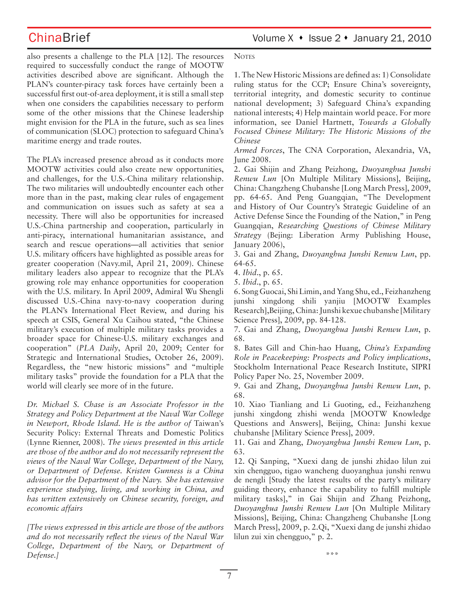ChinaBrief Volume X • Issue 2 • January 21, 2010

also presents a challenge to the PLA [12]. The resources required to successfully conduct the range of MOOTW activities described above are significant. Although the PLAN's counter-piracy task forces have certainly been a successful first out-of-area deployment, it is still a small step when one considers the capabilities necessary to perform some of the other missions that the Chinese leadership might envision for the PLA in the future, such as sea lines of communication (SLOC) protection to safeguard China's maritime energy and trade routes.

The PLA's increased presence abroad as it conducts more MOOTW activities could also create new opportunities, and challenges, for the U.S.-China military relationship. The two militaries will undoubtedly encounter each other more than in the past, making clear rules of engagement and communication on issues such as safety at sea a necessity. There will also be opportunities for increased U.S.-China partnership and cooperation, particularly in anti-piracy, international humanitarian assistance, and search and rescue operations—all activities that senior U.S. military officers have highlighted as possible areas for greater cooperation (Navy.mil, April 21, 2009). Chinese military leaders also appear to recognize that the PLA's growing role may enhance opportunities for cooperation with the U.S. military. In April 2009, Admiral Wu Shengli discussed U.S.-China navy-to-navy cooperation during the PLAN's International Fleet Review, and during his speech at CSIS, General Xu Caihou stated, "the Chinese military's execution of multiple military tasks provides a broader space for Chinese-U.S. military exchanges and cooperation" (*PLA Daily*, April 20, 2009; Center for Strategic and International Studies, October 26, 2009). Regardless, the "new historic missions" and "multiple military tasks" provide the foundation for a PLA that the world will clearly see more of in the future.

*Dr. Michael S. Chase is an Associate Professor in the Strategy and Policy Department at the Naval War College in Newport, Rhode Island. He is the author of* Taiwan's Security Policy: External Threats and Domestic Politics (Lynne Rienner, 2008)*. The views presented in this article are those of the author and do not necessarily represent the views of the Naval War College, Department of the Navy, or Department of Defense. Kristen Gunness is a China advisor for the Department of the Navy. She has extensive experience studying, living, and working in China, and has written extensively on Chinese security, foreign, and economic affairs*

*[The views expressed in this article are those of the authors and do not necessarily reflect the views of the Naval War College, Department of the Navy, or Department of Defense.]*

**NOTES** 

1. The New Historic Missions are defined as: 1) Consolidate ruling status for the CCP; Ensure China's sovereignty, territorial integrity, and domestic security to continue national development; 3) Safeguard China's expanding national interests; 4) Help maintain world peace. For more information, see Daniel Hartnett, *Towards a Globally Focused Chinese Military: The Historic Missions of the Chinese*

*Armed Forces*, The CNA Corporation, Alexandria, VA, June 2008.

2. Gai Shijin and Zhang Peizhong, *Duoyanghua Junshi Renwu Lun* [On Multiple Military Missions], Beijing, China: Changzheng Chubanshe [Long March Press], 2009, pp. 64-65. And Peng Guangqian, "The Development and History of Our Country's Strategic Guideline of an Active Defense Since the Founding of the Nation," in Peng Guangqian, *Researching Questions of Chinese Military Strategy* (Bejing: Liberation Army Publishing House, January 2006),

3. Gai and Zhang, *Duoyanghua Junshi Renwu Lun*, pp. 64-65.

4. *Ibid*., p. 65.

5. *Ibid*., p. 65.

6. Song Guocai, Shi Limin, and Yang Shu, ed., Feizhanzheng junshi xingdong shili yanjiu [MOOTW Examples Research],Beijing, China: Junshi kexue chubanshe [Military Science Press], 2009, pp. 84-128.

7. Gai and Zhang, *Duoyanghua Junshi Renwu Lun*, p. 68.

8. Bates Gill and Chin-hao Huang, *China's Expanding Role in Peacekeeping: Prospects and Policy implications*, Stockholm International Peace Research Institute, SIPRI Policy Paper No. 25, November 2009.

9. Gai and Zhang, *Duoyanghua Junshi Renwu Lun*, p. 68.

10. Xiao Tianliang and Li Guoting, ed., Feizhanzheng junshi xingdong zhishi wenda [MOOTW Knowledge Questions and Answers], Beijing, China: Junshi kexue chubanshe [Military Science Press], 2009.

11. Gai and Zhang, *Duoyanghua Junshi Renwu Lun*, p. 63.

12. Qi Sanping, "Xuexi dang de junshi zhidao lilun zui xin chengguo, tigao wancheng duoyanghua junshi renwu de nengli [Study the latest results of the party's military guiding theory, enhance the capability to fulfill multiple military tasks]," in Gai Shijin and Zhang Peizhong, *Duoyanghua Junshi Renwu Lun* [On Multiple Military Missions], Beijing, China: Changzheng Chubanshe [Long March Press], 2009, p. 2.Qi, "Xuexi dang de junshi zhidao lilun zui xin chengguo," p. 2.

\*\*\*

7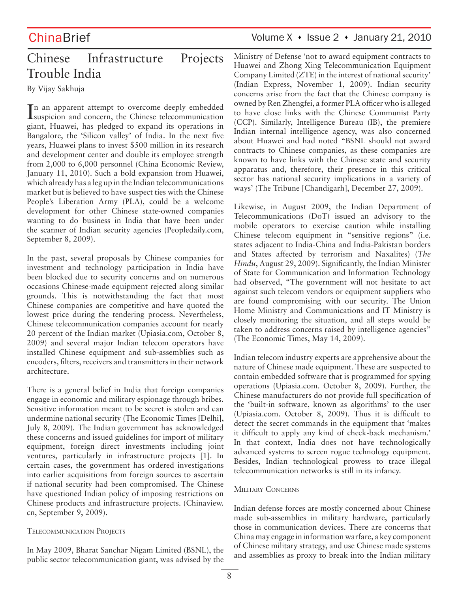# Chinese Infrastructure Projects Trouble India

By Vijay Sakhuja

In an apparent attempt to overcome deeply embedded<br>Isuspicion and concern, the Chinese telecommunication suspicion and concern, the Chinese telecommunication giant, Huawei, has pledged to expand its operations in Bangalore, the 'Silicon valley' of India. In the next five years, Huawei plans to invest \$500 million in its research and development center and double its employee strength from 2,000 to 6,000 personnel (China Economic Review, January 11, 2010). Such a bold expansion from Huawei, which already has a leg up in the Indian telecommunications market but is believed to have suspect ties with the Chinese People's Liberation Army (PLA), could be a welcome development for other Chinese state-owned companies wanting to do business in India that have been under the scanner of Indian security agencies (Peopledaily.com, September 8, 2009).

In the past, several proposals by Chinese companies for investment and technology participation in India have been blocked due to security concerns and on numerous occasions Chinese-made equipment rejected along similar grounds. This is notwithstanding the fact that most Chinese companies are competitive and have quoted the lowest price during the tendering process. Nevertheless, Chinese telecommunication companies account for nearly 20 percent of the Indian market (Upiasia.com, October 8, 2009) and several major Indian telecom operators have installed Chinese equipment and sub**-**assemblies such as encoders, filters, receivers and transmitters in their network architecture.

There is a general belief in India that foreign companies engage in economic and military espionage through bribes. Sensitive information meant to be secret is stolen and can undermine national security (The Economic Times [Delhi], July 8, 2009). The Indian government has acknowledged these concerns and issued guidelines for import of military equipment, foreign direct investments including joint ventures, particularly in infrastructure projects [1]. In certain cases, the government has ordered investigations into earlier acquisitions from foreign sources to ascertain if national security had been compromised. The Chinese have questioned Indian policy of imposing restrictions on Chinese products and infrastructure projects. (Chinaview. cn, September 9, 2009).

### TELECOMMUNICATION PROJECTS

In May 2009, Bharat Sanchar Nigam Limited (BSNL), the public sector telecommunication giant, was advised by the

# ChinaBrief Volume X • Issue 2 • January 21, 2010

Ministry of Defense 'not to award equipment contracts to Huawei and Zhong Xing Telecommunication Equipment Company Limited (ZTE) in the interest of national security' (Indian Express, November 1, 2009). Indian security concerns arise from the fact that the Chinese company is owned by Ren Zhengfei, a former PLA officer who is alleged to have close links with the Chinese Communist Party (CCP). Similarly, Intelligence Bureau (IB), the premiere Indian internal intelligence agency, was also concerned about Huawei and had noted "BSNL should not award contracts to Chinese companies, as these companies are known to have links with the Chinese state and security apparatus and, therefore, their presence in this critical sector has national security implications in a variety of ways' (The Tribune [Chandigarh], December 27, 2009).

Likewise, in August 2009, the Indian Department of Telecommunications (DoT) issued an advisory to the mobile operators to exercise caution while installing Chinese telecom equipment in "sensitive regions" (i.e. states adjacent to India-China and India-Pakistan borders and States affected by terrorism and Naxalites) (*The Hindu*, August 29, 2009). Significantly, the Indian Minister of State for Communication and Information Technology had observed, "The government will not hesitate to act against such telecom vendors or equipment suppliers who are found compromising with our security. The Union Home Ministry and Communications and IT Ministry is closely monitoring the situation, and all steps would be taken to address concerns raised by intelligence agencies" (The Economic Times, May 14, 2009).

Indian telecom industry experts are apprehensive about the nature of Chinese made equipment. These are suspected to contain embedded software that is programmed for spying operations (Upiasia.com. October 8, 2009). Further, the Chinese manufacturers do not provide full specification of the 'built-in software, known as algorithms' to the user (Upiasia.com. October 8, 2009). Thus it is difficult to detect the secret commands in the equipment that 'makes it difficult to apply any kind of check-back mechanism.' In that context, India does not have technologically advanced systems to screen rogue technology equipment. Besides, Indian technological prowess to trace illegal telecommunication networks is still in its infancy.

### MILITARY CONCERNS

Indian defense forces are mostly concerned about Chinese made sub**-**assemblies in military hardware, particularly those in communication devices. There are concerns that China may engage in information warfare, a key component of Chinese military strategy, and use Chinese made systems and assemblies as proxy to break into the Indian military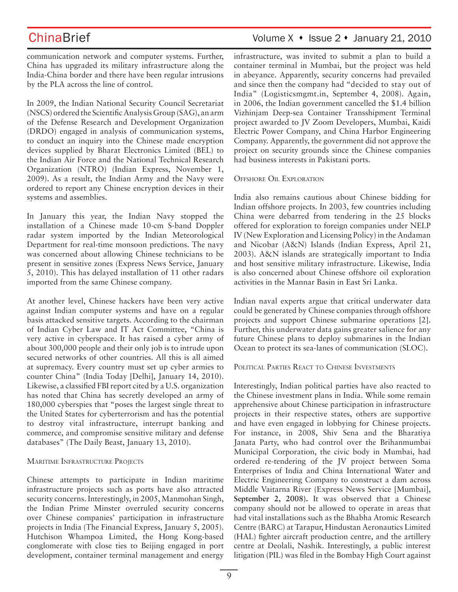communication network and computer systems. Further, China has upgraded its military infrastructure along the India-China border and there have been regular intrusions by the PLA across the line of control.

In 2009, the Indian National Security Council Secretariat (NSCS) ordered the Scientific Analysis Group (SAG), an arm of the Defense Research and Development Organization (DRDO) engaged in analysis of communication systems, to conduct an inquiry into the Chinese made encryption devices supplied by Bharat Electronics Limited (BEL) to the Indian Air Force and the National Technical Research Organization (NTRO) (Indian Express, November 1, 2009). As a result, the Indian Army and the Navy were ordered to report any Chinese encryption devices in their systems and assemblies.

In January this year, the Indian Navy stopped the installation of a Chinese made 10-cm S-band Doppler radar system imported by the Indian Meteorological Department for real-time monsoon predictions. The navy was concerned about allowing Chinese technicians to be present in sensitive zones (Express News Service, January 5, 2010). This has delayed installation of 11 other radars imported from the same Chinese company.

At another level, Chinese hackers have been very active against Indian computer systems and have on a regular basis attacked sensitive targets. According to the chairman of Indian Cyber Law and IT Act Committee, "China is very active in cyberspace. It has raised a cyber army of about 300,000 people and their only job is to intrude upon secured networks of other countries. All this is all aimed at supremacy. Every country must set up cyber armies to counter China" (India Today [Delhi], January 14, 2010). Likewise, a classified FBI report cited by a U.S. organization has noted that China has secretly developed an army of 180,000 cyberspies that "poses the largest single threat to the United States for cyberterrorism and has the potential to destroy vital infrastructure, interrupt banking and commerce, and compromise sensitive military and defense databases" (The Daily Beast, January 13, 2010).

### MARITIME INFRASTRUCTURE PROJECTS

Chinese attempts to participate in Indian maritime infrastructure projects such as ports have also attracted security concerns. Interestingly, in 2005, Manmohan Singh, the Indian Prime Minster overruled security concerns over Chinese companies' participation in infrastructure projects in India (The Financial Express, January 5, 2005). Hutchison Whampoa Limited, the Hong Kong-based conglomerate with close ties to Beijing engaged in port development, container terminal management and energy

ChinaBrief Volume X • Issue 2 • January 21, 2010

infrastructure, was invited to submit a plan to build a container terminal in Mumbai, but the project was held in abeyance. Apparently, security concerns had prevailed and since then the company had "decided to stay out of India" (Logisticsmgmt.in, September 4, 2008). Again, in 2006, the Indian government cancelled the \$1.4 billion Vizhinjam Deep-sea Container Transshipment Terminal project awarded to JV Zoom Developers, Mumbai, Kaidi Electric Power Company, and China Harbor Engineering Company. Apparently, the government did not approve the project on security grounds since the Chinese companies had business interests in Pakistani ports.

### OFFSHORE OIL EXPLORATION

India also remains cautious about Chinese bidding for Indian offshore projects. In 2003, few countries including China were debarred from tendering in the 25 blocks offered for exploration to foreign companies under NELP IV (New Exploration and Licensing Policy) in the Andaman and Nicobar (A&N) Islands (Indian Express, April 21, 2003). A&N islands are strategically important to India and host sensitive military infrastructure. Likewise, India is also concerned about Chinese offshore oil exploration activities in the Mannar Basin in East Sri Lanka.

Indian naval experts argue that critical underwater data could be generated by Chinese companies through offshore projects and support Chinese submarine operations [2]. Further, this underwater data gains greater salience for any future Chinese plans to deploy submarines in the Indian Ocean to protect its sea-lanes of communication (SLOC).

### POLITICAL PARTIES REACT TO CHINESE INVESTMENTS

Interestingly, Indian political parties have also reacted to the Chinese investment plans in India. While some remain apprehensive about Chinese participation in infrastructure projects in their respective states, others are supportive and have even engaged in lobbying for Chinese projects. For instance, in 2008, Shiv Sena and the Bharatiya Janata Party, who had control over the Brihanmumbai Municipal Corporation, the civic body in Mumbai, had ordered re-tendering of the JV project between Soma Enterprises of India and China International Water and Electric Engineering Company to construct a dam across Middle Vaitarna River (Express News Service [Mumbai], **September 2, 2008).** It was observed that a Chinese company should not be allowed to operate in areas that had vital installations such as the Bhabha Atomic Research Centre (BARC) at Tarapur, Hindustan Aeronautics Limited (HAL) fighter aircraft production centre, and the artillery centre at Deolali, Nashik. Interestingly, a public interest litigation (PIL) was filed in the Bombay High Court against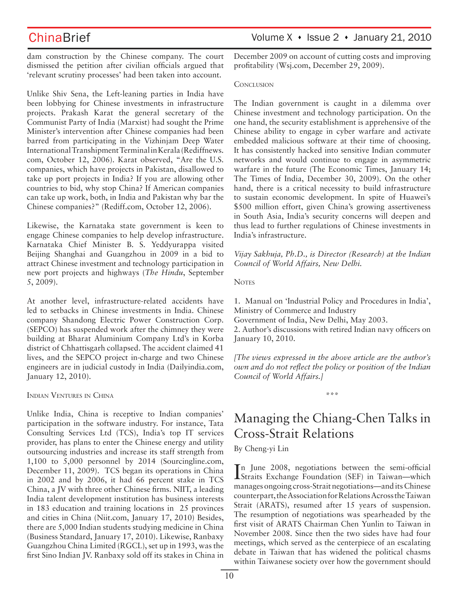dam construction by the Chinese company. The court dismissed the petition after civilian officials argued that 'relevant scrutiny processes' had been taken into account.

Unlike Shiv Sena, the Left-leaning parties in India have been lobbying for Chinese investments in infrastructure projects. Prakash Karat the general secretary of the Communist Party of India (Marxist) had sought the Prime Minister's intervention after Chinese companies had been barred from participating in the Vizhinjam Deep Water International Transhipment Terminal in Kerala (Rediffnews. com, October 12, 2006). Karat observed, "Are the U.S. companies, which have projects in Pakistan, disallowed to take up port projects in India? If you are allowing other countries to bid, why stop China? If American companies can take up work, both, in India and Pakistan why bar the Chinese companies?" (Rediff.com, October 12, 2006).

Likewise, the Karnataka state government is keen to engage Chinese companies to help develop infrastructure. Karnataka Chief Minister B. S. Yeddyurappa visited Beijing Shanghai and Guangzhou in 2009 in a bid to attract Chinese investment and technology participation in new port projects and highways (*The Hindu*, September 5, 2009).

At another level, infrastructure-related accidents have led to setbacks in Chinese investments in India. Chinese company Shandong Electric Power Construction Corp. (SEPCO) has suspended work after the chimney they were building at Bharat Aluminium Company Ltd's in Korba district of Chhattisgarh collapsed. The accident claimed 41 lives, and the SEPCO project in-charge and two Chinese engineers are in judicial custody in India (Dailyindia.com, January 12, 2010).

INDIAN VENTURES IN CHINA

Unlike India, China is receptive to Indian companies' participation in the software industry. For instance, Tata Consulting Services Ltd (TCS), India's top IT services provider, has plans to enter the Chinese energy and utility outsourcing industries and increase its staff strength from 1,100 to 5,000 personnel by 2014 (Sourcingline.com, December 11, 2009). TCS began its operations in China in 2002 and by 2006, it had 66 percent stake in TCS China, a JV with three other Chinese firms. NIIT, a leading India talent development institution has business interests in 183 education and training locations in 25 provinces and cities in China (Niit.com, January 17, 2010) Besides, there are 5,000 Indian students studying medicine in China (Business Standard, January 17, 2010). Likewise, Ranbaxy Guangzhou China Limited (RGCL), set up in 1993, was the first Sino Indian JV. Ranbaxy sold off its stakes in China in December 2009 on account of cutting costs and improving profitability (Wsj.com, December 29, 2009).

### **CONCLUSION**

The Indian government is caught in a dilemma over Chinese investment and technology participation. On the one hand, the security establishment is apprehensive of the Chinese ability to engage in cyber warfare and activate embedded malicious software at their time of choosing. It has consistently hacked into sensitive Indian commuter networks and would continue to engage in asymmetric warfare in the future (The Economic Times, January 14; The Times of India, December 30, 2009). On the other hand, there is a critical necessity to build infrastructure to sustain economic development. In spite of Huawei's \$500 million effort, given China's growing assertiveness in South Asia, India's security concerns will deepen and thus lead to further regulations of Chinese investments in India's infrastructure.

*Vijay Sakhuja, Ph.D., is Director (Research) at the Indian Council of World Affairs, New Delhi.*

### **NOTES**

1. Manual on 'Industrial Policy and Procedures in India', Ministry of Commerce and Industry Government of India, New Delhi, May 2003. 2. Author's discussions with retired Indian navy officers on January 10, 2010.

*[The views expressed in the above article are the author's own and do not reflect the policy or position of the Indian Council of World Affairs.]*

\*\*\*

# Managing the Chiang-Chen Talks in Cross-Strait Relations

By Cheng-yi Lin

I Straits Exchange Foundation (SEF) in Taiwan—which n June 2008, negotiations between the semi-official manages ongoing cross-Strait negotiations—and its Chinese counterpart, the Association for Relations Across the Taiwan Strait (ARATS), resumed after 15 years of suspension. The resumption of negotiations was spearheaded by the first visit of ARATS Chairman Chen Yunlin to Taiwan in November 2008. Since then the two sides have had four meetings, which served as the centerpiece of an escalating debate in Taiwan that has widened the political chasms within Taiwanese society over how the government should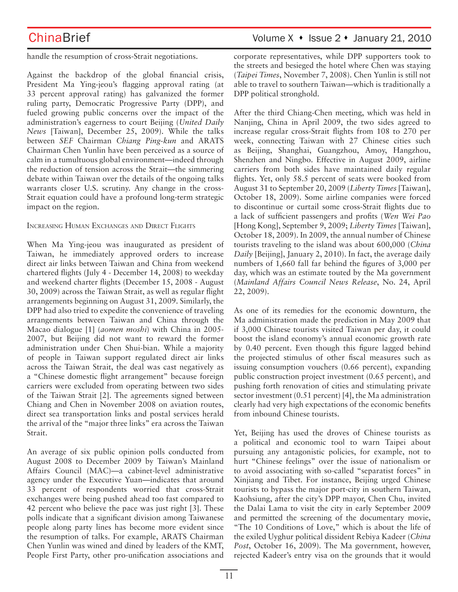handle the resumption of cross-Strait negotiations.

Against the backdrop of the global financial crisis, President Ma Ying-jeou's flagging approval rating (at 33 percent approval rating) has galvanized the former ruling party, Democratic Progressive Party (DPP), and fueled growing public concerns over the impact of the administration's eagerness to court Beijing (*United Daily News* [Taiwan], December 25, 2009). While the talks between *SEF* Chairman *Chiang Ping-kun* and ARATS Chairman Chen Yunlin have been perceived as a source of calm in a tumultuous global environment—indeed through the reduction of tension across the Strait—the simmering debate within Taiwan over the details of the ongoing talks warrants closer U.S. scrutiny. Any change in the cross-Strait equation could have a profound long-term strategic impact on the region.

### INCREASING HUMAN EXCHANGES AND DIRECT FLIGHTS

When Ma Ying-jeou was inaugurated as president of Taiwan, he immediately approved orders to increase direct air links between Taiwan and China from weekend chartered flights (July 4 - December 14, 2008) to weekday and weekend charter flights (December 15, 2008 - August 30, 2009) across the Taiwan Strait, as well as regular flight arrangements beginning on August 31, 2009. Similarly, the DPP had also tried to expedite the convenience of traveling arrangements between Taiwan and China through the Macao dialogue [1] (*aomen moshi*) with China in 2005- 2007, but Beijing did not want to reward the former administration under Chen Shui-bian. While a majority of people in Taiwan support regulated direct air links across the Taiwan Strait, the deal was cast negatively as a "Chinese domestic flight arrangement" because foreign carriers were excluded from operating between two sides of the Taiwan Strait [2]. The agreements signed between Chiang and Chen in November 2008 on aviation routes, direct sea transportation links and postal services herald the arrival of the "major three links" era across the Taiwan Strait.

An average of six public opinion polls conducted from August 2008 to December 2009 by Taiwan's Mainland Affairs Council (MAC)—a cabinet-level administrative agency under the Executive Yuan—indicates that around 33 percent of respondents worried that cross-Strait exchanges were being pushed ahead too fast compared to 42 percent who believe the pace was just right [3]. These polls indicate that a significant division among Taiwanese people along party lines has become more evident since the resumption of talks. For example, ARATS Chairman Chen Yunlin was wined and dined by leaders of the KMT, People First Party, other pro-unification associations and corporate representatives, while DPP supporters took to the streets and besieged the hotel where Chen was staying (*Taipei Times*, November 7, 2008). Chen Yunlin is still not able to travel to southern Taiwan—which is traditionally a DPP political stronghold.

After the third Chiang-Chen meeting, which was held in Nanjing, China in April 2009, the two sides agreed to increase regular cross-Strait flights from 108 to 270 per week, connecting Taiwan with 27 Chinese cities such as Beijing, Shanghai, Guangzhou, Amoy, Hangzhou, Shenzhen and Ningbo. Effective in August 2009, airline carriers from both sides have maintained daily regular flights. Yet, only 58.5 percent of seats were booked from August 31 to September 20, 2009 (*Liberty Times* [Taiwan], October 18, 2009). Some airline companies were forced to discontinue or curtail some cross-Strait flights due to a lack of sufficient passengers and profits (*Wen Wei Pao*  [Hong Kong], September 9, 2009; *Liberty Times* [Taiwan], October 18, 2009). In 2009, the annual number of Chinese tourists traveling to the island was about 600,000 (*China Daily* [Beijing], January 2, 2010). In fact, the average daily numbers of 1,660 fall far behind the figures of 3,000 per day, which was an estimate touted by the Ma government (*Mainland Affairs Council News Release*, No. 24, April 22, 2009).

As one of its remedies for the economic downturn, the Ma administration made the prediction in May 2009 that if 3,000 Chinese tourists visited Taiwan per day, it could boost the island economy's annual economic growth rate by 0.40 percent. Even though this figure lagged behind the projected stimulus of other fiscal measures such as issuing consumption vouchers (0.66 percent), expanding public construction project investment (0.65 percent), and pushing forth renovation of cities and stimulating private sector investment (0.51 percent) [4], the Ma administration clearly had very high expectations of the economic benefits from inbound Chinese tourists.

Yet, Beijing has used the droves of Chinese tourists as a political and economic tool to warn Taipei about pursuing any antagonistic policies, for example, not to hurt "Chinese feelings" over the issue of nationalism or to avoid associating with so-called "separatist forces" in Xinjiang and Tibet. For instance, Beijing urged Chinese tourists to bypass the major port-city in southern Taiwan, Kaohsiung, after the city's DPP mayor, Chen Chu, invited the Dalai Lama to visit the city in early September 2009 and permitted the screening of the documentary movie, "The 10 Conditions of Love," which is about the life of the exiled Uyghur political dissident Rebiya Kadeer (*China Post*, October 16, 2009). The Ma government, however, rejected Kadeer's entry visa on the grounds that it would

# ChinaBrief Volume X • Issue 2 • January 21, 2010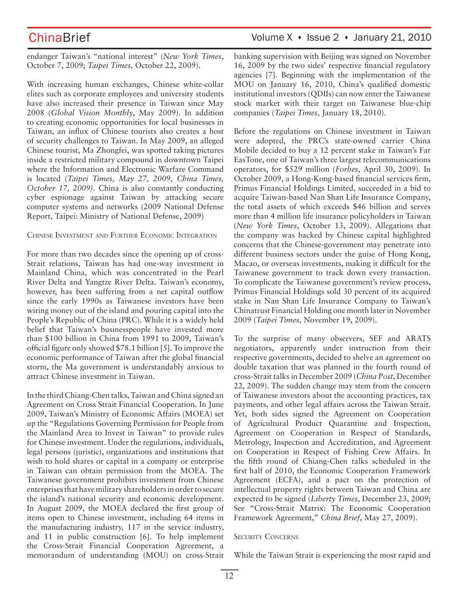endanger Taiwan's "national interest" (*New York Times*, October 7, 2009; *Taipei Times*, October 22, 2009).

With increasing human exchanges, Chinese white-collar elites such as corporate employees and university students have also increased their presence in Taiwan since May 2008 (*Global Vision Monthly*, May 2009). In addition to creating economic opportunities for local businesses in Taiwan, an influx of Chinese tourists also creates a host of security challenges to Taiwan. In May 2009, an alleged Chinese tourist, Ma Zhongfei, was spotted taking pictures inside a restricted military compound in downtown Taipei where the Information and Electronic Warfare Command is located (*Taipei Times, May 27, 2009, China Times, October 17, 2009)*. China is also constantly conducting cyber espionage against Taiwan by attacking secure computer systems and networks (2009 National Defense Report, Taipei: Ministry of National Defense, 2009)

### CHINESE INVESTMENT AND FURTHER ECONOMIC INTEGRATION

For more than two decades since the opening up of cross-Strait relations, Taiwan has had one-way investment in Mainland China, which was concentrated in the Pearl River Delta and Yangtze River Delta. Taiwan's economy, however, has been suffering from a net capital outflow since the early 1990s as Taiwanese investors have been wiring money out of the island and pouring capital into the People's Republic of China (PRC). While it is a widely held belief that Taiwan's businesspeople have invested more than \$100 billion in China from 1991 to 2009, Taiwan's official figure only showed \$78.1 billion [5]. To improve the economic performance of Taiwan after the global financial storm, the Ma government is understandably anxious to attract Chinese investment in Taiwan.

In the third Chiang-Chen talks, Taiwan and China signed an Agreement on Cross Strait Financial Cooperation. In June 2009, Taiwan's Ministry of Economic Affairs (MOEA) set up the "Regulations Governing Permission for People from the Mainland Area to Invest in Taiwan" to provide rules for Chinese investment. Under the regulations, individuals, legal persons (juristic), organizations and institutions that wish to hold shares or capital in a company or enterprise in Taiwan can obtain permission from the MOEA. The Taiwanese government prohibits investment from Chinese enterprises that have military shareholders in order to secure the island's national security and economic development. In August 2009, the MOEA declared the first group of items open to Chinese investment, including 64 items in the manufacturing industry, 117 in the service industry, and 11 in public construction [6]. To help implement the Cross-Strait Financial Cooperation Agreement, a memorandum of understanding (MOU) on cross-Strait

## ChinaBrief Volume X • Issue 2 • January 21, 2010

banking supervision with Beijing was signed on November 16, 2009 by the two sides' respective financial regulatory agencies [7]. Beginning with the implementation of the MOU on January 16, 2010, China's qualified domestic institutional investors (QDIIs) can now enter the Taiwanese stock market with their target on Taiwanese blue-chip companies (*Taipei Times*, January 18, 2010).

Before the regulations on Chinese investment in Taiwan were adopted, the PRC's state-owned carrier China Mobile decided to buy a 12 percent stake in Taiwan's Far EasTone, one of Taiwan's three largest telecommunications operators, for \$529 million (*Forbes*, April 30, 2009). In October 2009, a Hong-Kong-based financial services firm, Primus Financial Holdings Limited, succeeded in a bid to acquire Taiwan-based Nan Shan Life Insurance Company, the total assets of which exceeds \$46 billion and serves more than 4 million life insurance policyholders in Taiwan (*New York Times*, October 13, 2009). Allegations that the company was backed by Chinese capital highlighted concerns that the Chinese-government may penetrate into different business sectors under the guise of Hong Kong, Macao, or overseas investments, making it difficult for the Taiwanese government to track down every transaction. To complicate the Taiwanese government's review process, Primus Financial Holdings sold 30 percent of its acquired stake in Nan Shan Life Insurance Company to Taiwan's Chinatrust Financial Holding one month later in November 2009 (*Taipei Times*, November 19, 2009).

To the surprise of many observers, SEF and ARATS negotiators, apparently under instruction from their respective governments, decided to shelve an agreement on double taxation that was planned in the fourth round of cross-Strait talks in December 2009 (*China Post*, December 22, 2009). The sudden change may stem from the concern of Taiwanese investors about the accounting practices, tax payments, and other legal affairs across the Taiwan Strait. Yet, both sides signed the Agreement on Cooperation of Agricultural Product Quarantine and Inspection, Agreement on Cooperation in Respect of Standards, Metrology, Inspection and Accreditation, and Agreement on Cooperation in Respect of Fishing Crew Affairs. In the fifth round of Chiang-Chen talks scheduled in the first half of 2010, the Economic Cooperation Framework Agreement (ECFA), and a pact on the protection of intellectual property rights between Taiwan and China are expected to be signed (*Liberty Times*, December 23, 2009; See "Cross-Strait Matrix: The Economic Cooperation Framework Agreement," *China Brief*, May 27, 2009).

### SECURITY CONCERNS

While the Taiwan Strait is experiencing the most rapid and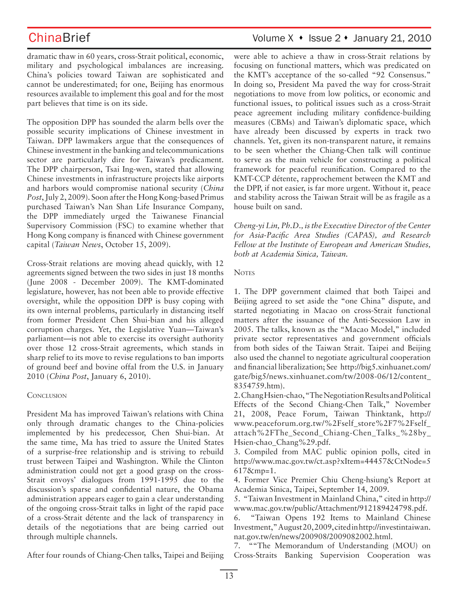dramatic thaw in 60 years, cross-Strait political, economic, military and psychological imbalances are increasing. China's policies toward Taiwan are sophisticated and cannot be underestimated; for one, Beijing has enormous resources available to implement this goal and for the most part believes that time is on its side.

The opposition DPP has sounded the alarm bells over the possible security implications of Chinese investment in Taiwan. DPP lawmakers argue that the consequences of Chinese investment in the banking and telecommunications sector are particularly dire for Taiwan's predicament. The DPP chairperson, Tsai Ing-wen, stated that allowing Chinese investments in infrastructure projects like airports and harbors would compromise national security (*China Post*, July 2, 2009). Soon after the Hong Kong-based Primus purchased Taiwan's Nan Shan Life Insurance Company, the DPP immediately urged the Taiwanese Financial Supervisory Commission (FSC) to examine whether that Hong Kong company is financed with Chinese government capital (*Taiwan News*, October 15, 2009).

Cross-Strait relations are moving ahead quickly, with 12 agreements signed between the two sides in just 18 months (June 2008 - December 2009). The KMT-dominated legislature, however, has not been able to provide effective oversight, while the opposition DPP is busy coping with its own internal problems, particularly in distancing itself from former President Chen Shui-bian and his alleged corruption charges. Yet, the Legislative Yuan—Taiwan's parliament—is not able to exercise its oversight authority over those 12 cross-Strait agreements, which stands in sharp relief to its move to revise regulations to ban imports of ground beef and bovine offal from the U.S. in January 2010 (*China Post*, January 6, 2010).

### **CONCLUSION**

President Ma has improved Taiwan's relations with China only through dramatic changes to the China-policies implemented by his predecessor, Chen Shui-bian. At the same time, Ma has tried to assure the United States of a surprise-free relationship and is striving to rebuild trust between Taipei and Washington. While the Clinton administration could not get a good grasp on the cross-Strait envoys' dialogues from 1991-1995 due to the discussion's sparse and confidential nature, the Obama administration appears eager to gain a clear understanding of the ongoing cross-Strait talks in light of the rapid pace of a cross-Strait détente and the lack of transparency in details of the negotiations that are being carried out through multiple channels.

were able to achieve a thaw in cross-Strait relations by focusing on functional matters, which was predicated on the KMT's acceptance of the so-called "92 Consensus." In doing so, President Ma paved the way for cross-Strait negotiations to move from low politics, or economic and functional issues, to political issues such as a cross-Strait peace agreement including military confidence-building measures (CBMs) and Taiwan's diplomatic space, which have already been discussed by experts in track two channels. Yet, given its non-transparent nature, it remains to be seen whether the Chiang-Chen talk will continue to serve as the main vehicle for constructing a political framework for peaceful reunification. Compared to the KMT-CCP détente, rapprochement between the KMT and the DPP, if not easier, is far more urgent. Without it, peace and stability across the Taiwan Strait will be as fragile as a house built on sand.

*Cheng-yi Lin, Ph.D., is the Executive Director of the Center for Asia-Pacific Area Studies (CAPAS), and Research Fellow at the Institute of European and American Studies, both at Academia Sinica, Taiwan.*

### **NOTES**

1. The DPP government claimed that both Taipei and Beijing agreed to set aside the "one China" dispute, and started negotiating in Macao on cross-Strait functional matters after the issuance of the Anti-Secession Law in 2005. The talks, known as the "Macao Model," included private sector representatives and government officials from both sides of the Taiwan Strait. Taipei and Beijing also used the channel to negotiate agricultural cooperation and financial liberalization; See http://big5.xinhuanet.com/ gate/big5/news.xinhuanet.com/tw/2008-06/12/content\_ 8354759.htm).

2. Chang Hsien-chao, "The Negotiation Results and Political Effects of the Second Chiang-Chen Talk," November 21, 2008, Peace Forum, Taiwan Thinktank, http:// www.peaceforum.org.tw/%2Fself\_store%2F7%2Fself\_ attach%2FThe\_Second\_Chiang-Chen\_Talks\_%28by\_ Hsien-chao\_Chang%29.pdf.

3. Compiled from MAC public opinion polls, cited in http://www.mac.gov.tw/ct.asp?xItem=44457&CtNode=5 617&mp=1.

4. Former Vice Premier Chiu Cheng-hsiung's Report at Academia Sinica, Taipei, September 14, 2009.

5. "Taiwan Investment in Mainland China," cited in http:// www.mac.gov.tw/public/Attachment/912189424798.pdf.

6. "Taiwan Opens 192 Items to Mainland Chinese Investment," August 20, 2009, cited in http://investintaiwan. nat.gov.tw/en/news/200908/2009082002.html.

7. ""The Memorandum of Understanding (MOU) on Cross-Straits Banking Supervision Cooperation was

After four rounds of Chiang-Chen talks, Taipei and Beijing

# ChinaBrief Volume X • Issue 2 • January 21, 2010